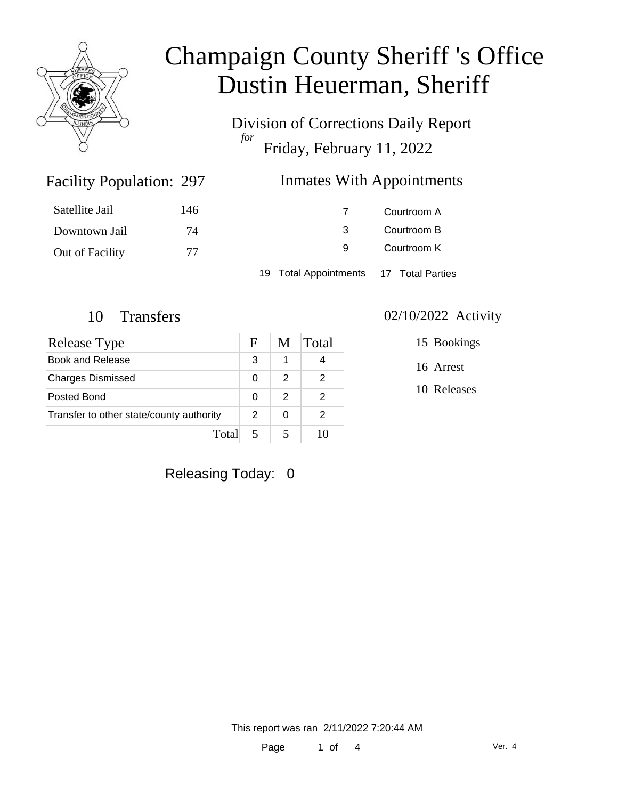

Division of Corrections Daily Report *for* Friday, February 11, 2022

#### Inmates With Appointments

| Satellite Jail  | 146 |                                           | Courtroom A |
|-----------------|-----|-------------------------------------------|-------------|
| Downtown Jail   | 74  |                                           | Courtroom B |
| Out of Facility | 77  | 9                                         | Courtroom K |
|                 |     | Total Appointments 17 Total Parties<br>19 |             |

Facility Population: 297

| Release Type                             | F | M | Total |
|------------------------------------------|---|---|-------|
| Book and Release                         | 3 | 1 |       |
| <b>Charges Dismissed</b>                 | 0 | 2 | 2     |
| Posted Bond                              | 0 | 2 | 2     |
| Transfer to other state/county authority |   | 0 | 2     |
| Total                                    |   |   |       |

#### 10 Transfers 02/10/2022 Activity

15 Bookings

16 Arrest

10 Releases

Releasing Today: 0

This report was ran 2/11/2022 7:20:44 AM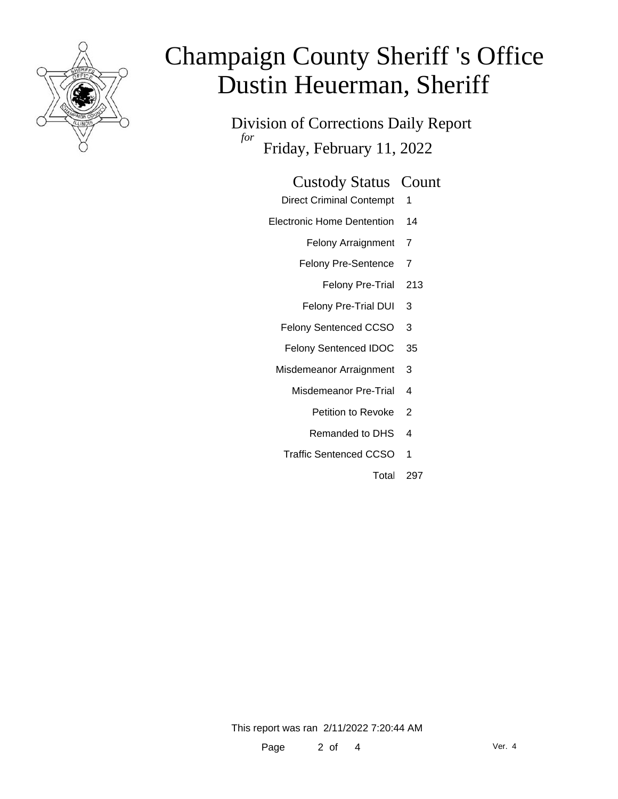

Division of Corrections Daily Report *for* Friday, February 11, 2022

| <b>Custody Status Count</b> |  |
|-----------------------------|--|
|-----------------------------|--|

- Direct Criminal Contempt 1
- Electronic Home Dentention 14
	- Felony Arraignment 7
	- Felony Pre-Sentence 7
		- Felony Pre-Trial 213
	- Felony Pre-Trial DUI 3
	- Felony Sentenced CCSO 3
	- Felony Sentenced IDOC 35
	- Misdemeanor Arraignment 3
		- Misdemeanor Pre-Trial 4
			- Petition to Revoke 2
			- Remanded to DHS 4
		- Traffic Sentenced CCSO 1
			- Total 297

This report was ran 2/11/2022 7:20:44 AM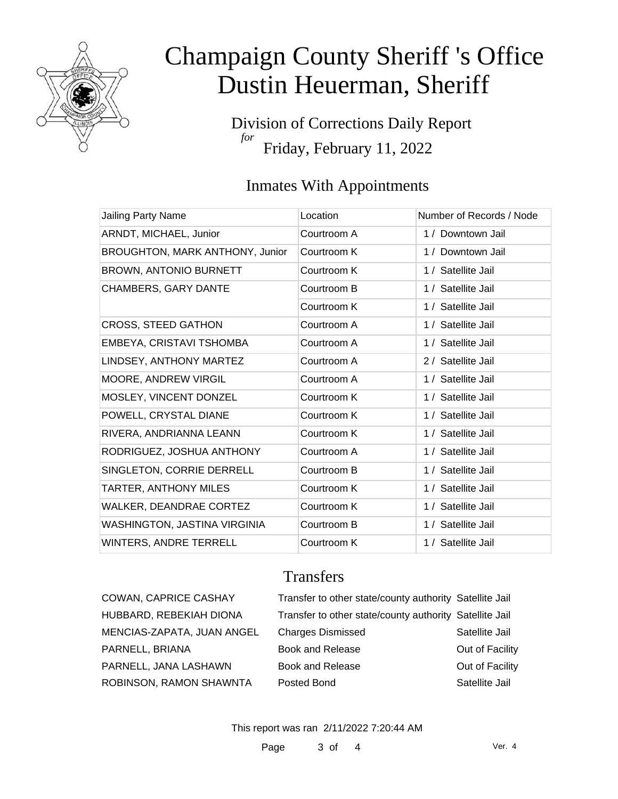

Division of Corrections Daily Report *for* Friday, February 11, 2022

### Inmates With Appointments

| Jailing Party Name              | Location    | Number of Records / Node |
|---------------------------------|-------------|--------------------------|
| ARNDT, MICHAEL, Junior          | Courtroom A | 1 / Downtown Jail        |
| BROUGHTON, MARK ANTHONY, Junior | Courtroom K | 1 / Downtown Jail        |
| <b>BROWN, ANTONIO BURNETT</b>   | Courtroom K | 1 / Satellite Jail       |
| <b>CHAMBERS, GARY DANTE</b>     | Courtroom B | 1 / Satellite Jail       |
|                                 | Courtroom K | 1 / Satellite Jail       |
| CROSS, STEED GATHON             | Courtroom A | 1 / Satellite Jail       |
| EMBEYA, CRISTAVI TSHOMBA        | Courtroom A | 1 / Satellite Jail       |
| LINDSEY, ANTHONY MARTEZ         | Courtroom A | 2 / Satellite Jail       |
| MOORE, ANDREW VIRGIL            | Courtroom A | 1 / Satellite Jail       |
| MOSLEY, VINCENT DONZEL          | Courtroom K | 1 / Satellite Jail       |
| POWELL, CRYSTAL DIANE           | Courtroom K | 1 / Satellite Jail       |
| RIVERA, ANDRIANNA LEANN         | Courtroom K | 1 / Satellite Jail       |
| RODRIGUEZ, JOSHUA ANTHONY       | Courtroom A | 1 / Satellite Jail       |
| SINGLETON, CORRIE DERRELL       | Courtroom B | 1 / Satellite Jail       |
| TARTER, ANTHONY MILES           | Courtroom K | 1 / Satellite Jail       |
| WALKER, DEANDRAE CORTEZ         | Courtroom K | 1 / Satellite Jail       |
| WASHINGTON, JASTINA VIRGINIA    | Courtroom B | 1 / Satellite Jail       |
| <b>WINTERS, ANDRE TERRELL</b>   | Courtroom K | 1 / Satellite Jail       |

### **Transfers**

| COWAN, CAPRICE CASHAY      | Transfer to other state/county authority Satellite Jail |                 |
|----------------------------|---------------------------------------------------------|-----------------|
| HUBBARD, REBEKIAH DIONA    | Transfer to other state/county authority Satellite Jail |                 |
| MENCIAS-ZAPATA, JUAN ANGEL | <b>Charges Dismissed</b>                                | Satellite Jail  |
| PARNELL, BRIANA            | Book and Release                                        | Out of Facility |
| PARNELL, JANA LASHAWN      | Book and Release                                        | Out of Facility |
| ROBINSON, RAMON SHAWNTA    | Posted Bond                                             | Satellite Jail  |